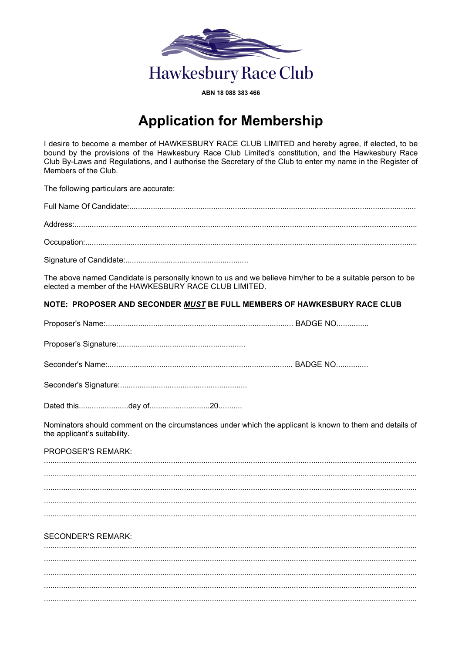

ABN 18 088 383 466

## **Application for Membership**

I desire to become a member of HAWKESBURY RACE CLUB LIMITED and hereby agree, if elected, to be bound by the provisions of the Hawkesbury Race Club Limited's constitution, and the Hawkesbury Race Club By-Laws and Regulations, and I authorise the Secretary of the Club to enter my name in the Register of Members of the Club.

The following particulars are accurate:

The above named Candidate is personally known to us and we believe him/her to be a suitable person to be elected a member of the HAWKESBURY RACE CLUB LIMITED.

## NOTE: PROPOSER AND SECONDER MUST BE FULL MEMBERS OF HAWKESBURY RACE CLUB

Nominators should comment on the circumstances under which the applicant is known to them and details of the applicant's suitability.

PROPOSER'S REMARK

## **SECONDER'S REMARK:**